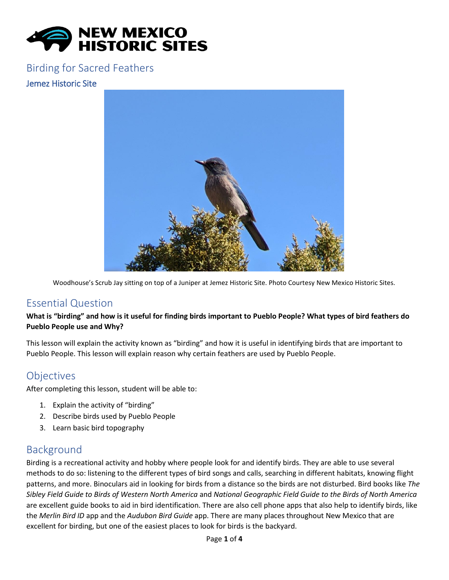

#### Birding for Sacred Feathers

#### Jemez Historic Site



Woodhouse's Scrub Jay sitting on top of a Juniper at Jemez Historic Site. Photo Courtesy New Mexico Historic Sites.

#### Essential Question

#### **What is "birding" and how is it useful for finding birds important to Pueblo People? What types of bird feathers do Pueblo People use and Why?**

This lesson will explain the activity known as "birding" and how it is useful in identifying birds that are important to Pueblo People. This lesson will explain reason why certain feathers are used by Pueblo People.

### **Objectives**

After completing this lesson, student will be able to:

- 1. Explain the activity of "birding"
- 2. Describe birds used by Pueblo People
- 3. Learn basic bird topography

### Background

Birding is a recreational activity and hobby where people look for and identify birds. They are able to use several methods to do so: listening to the different types of bird songs and calls, searching in different habitats, knowing flight patterns, and more. Binoculars aid in looking for birds from a distance so the birds are not disturbed. Bird books like *The Sibley Field Guide to Birds of Western North America* and *National Geographic Field Guide to the Birds of North America*  are excellent guide books to aid in bird identification. There are also cell phone apps that also help to identify birds, like the *Merlin Bird ID* app and the *Audubon Bird Guide* app. There are many places throughout New Mexico that are excellent for birding, but one of the easiest places to look for birds is the backyard.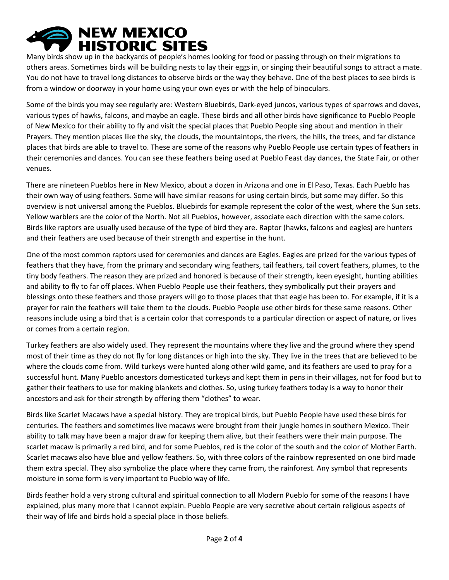# **NEW MEXICO HISTORIC SITES**

Many birds show up in the backyards of people's homes looking for food or passing through on their migrations to others areas. Sometimes birds will be building nests to lay their eggs in, or singing their beautiful songs to attract a mate. You do not have to travel long distances to observe birds or the way they behave. One of the best places to see birds is from a window or doorway in your home using your own eyes or with the help of binoculars.

Some of the birds you may see regularly are: Western Bluebirds, Dark-eyed juncos, various types of sparrows and doves, various types of hawks, falcons, and maybe an eagle. These birds and all other birds have significance to Pueblo People of New Mexico for their ability to fly and visit the special places that Pueblo People sing about and mention in their Prayers. They mention places like the sky, the clouds, the mountaintops, the rivers, the hills, the trees, and far distance places that birds are able to travel to. These are some of the reasons why Pueblo People use certain types of feathers in their ceremonies and dances. You can see these feathers being used at Pueblo Feast day dances, the State Fair, or other venues.

There are nineteen Pueblos here in New Mexico, about a dozen in Arizona and one in El Paso, Texas. Each Pueblo has their own way of using feathers. Some will have similar reasons for using certain birds, but some may differ. So this overview is not universal among the Pueblos. Bluebirds for example represent the color of the west, where the Sun sets. Yellow warblers are the color of the North. Not all Pueblos, however, associate each direction with the same colors. Birds like raptors are usually used because of the type of bird they are. Raptor (hawks, falcons and eagles) are hunters and their feathers are used because of their strength and expertise in the hunt.

One of the most common raptors used for ceremonies and dances are Eagles. Eagles are prized for the various types of feathers that they have, from the primary and secondary wing feathers, tail feathers, tail covert feathers, plumes, to the tiny body feathers. The reason they are prized and honored is because of their strength, keen eyesight, hunting abilities and ability to fly to far off places. When Pueblo People use their feathers, they symbolically put their prayers and blessings onto these feathers and those prayers will go to those places that that eagle has been to. For example, if it is a prayer for rain the feathers will take them to the clouds. Pueblo People use other birds for these same reasons. Other reasons include using a bird that is a certain color that corresponds to a particular direction or aspect of nature, or lives or comes from a certain region.

Turkey feathers are also widely used. They represent the mountains where they live and the ground where they spend most of their time as they do not fly for long distances or high into the sky. They live in the trees that are believed to be where the clouds come from. Wild turkeys were hunted along other wild game, and its feathers are used to pray for a successful hunt. Many Pueblo ancestors domesticated turkeys and kept them in pens in their villages, not for food but to gather their feathers to use for making blankets and clothes. So, using turkey feathers today is a way to honor their ancestors and ask for their strength by offering them "clothes" to wear.

Birds like Scarlet Macaws have a special history. They are tropical birds, but Pueblo People have used these birds for centuries. The feathers and sometimes live macaws were brought from their jungle homes in southern Mexico. Their ability to talk may have been a major draw for keeping them alive, but their feathers were their main purpose. The scarlet macaw is primarily a red bird, and for some Pueblos, red is the color of the south and the color of Mother Earth. Scarlet macaws also have blue and yellow feathers. So, with three colors of the rainbow represented on one bird made them extra special. They also symbolize the place where they came from, the rainforest. Any symbol that represents moisture in some form is very important to Pueblo way of life.

Birds feather hold a very strong cultural and spiritual connection to all Modern Pueblo for some of the reasons I have explained, plus many more that I cannot explain. Pueblo People are very secretive about certain religious aspects of their way of life and birds hold a special place in those beliefs.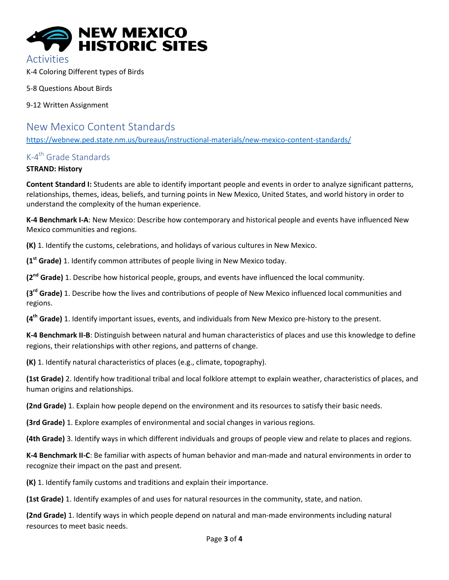

Activities

K-4 Coloring Different types of Birds

5-8 Questions About Birds

9-12 Written Assignment

# New Mexico Content Standards

<https://webnew.ped.state.nm.us/bureaus/instructional-materials/new-mexico-content-standards/>

## K-4<sup>th</sup> Grade Standards

#### **STRAND: History**

**Content Standard I:** Students are able to identify important people and events in order to analyze significant patterns, relationships, themes, ideas, beliefs, and turning points in New Mexico, United States, and world history in order to understand the complexity of the human experience.

**K-4 Benchmark I-A**: New Mexico: Describe how contemporary and historical people and events have influenced New Mexico communities and regions.

**(K)** 1. Identify the customs, celebrations, and holidays of various cultures in New Mexico.

**(1st Grade)** 1. Identify common attributes of people living in New Mexico today.

**(2nd Grade)** 1. Describe how historical people, groups, and events have influenced the local community.

**(3rd Grade)** 1. Describe how the lives and contributions of people of New Mexico influenced local communities and regions.

**(4th Grade)** 1. Identify important issues, events, and individuals from New Mexico pre-history to the present.

**K-4 Benchmark II-B**: Distinguish between natural and human characteristics of places and use this knowledge to define regions, their relationships with other regions, and patterns of change.

**(K)** 1. Identify natural characteristics of places (e.g., climate, topography).

**(1st Grade)** 2. Identify how traditional tribal and local folklore attempt to explain weather, characteristics of places, and human origins and relationships.

**(2nd Grade)** 1. Explain how people depend on the environment and its resources to satisfy their basic needs.

**(3rd Grade)** 1. Explore examples of environmental and social changes in various regions.

**(4th Grade)** 3. Identify ways in which different individuals and groups of people view and relate to places and regions.

**K-4 Benchmark II-C**: Be familiar with aspects of human behavior and man-made and natural environments in order to recognize their impact on the past and present.

**(K)** 1. Identify family customs and traditions and explain their importance.

**(1st Grade)** 1. Identify examples of and uses for natural resources in the community, state, and nation.

**(2nd Grade)** 1. Identify ways in which people depend on natural and man-made environments including natural resources to meet basic needs.